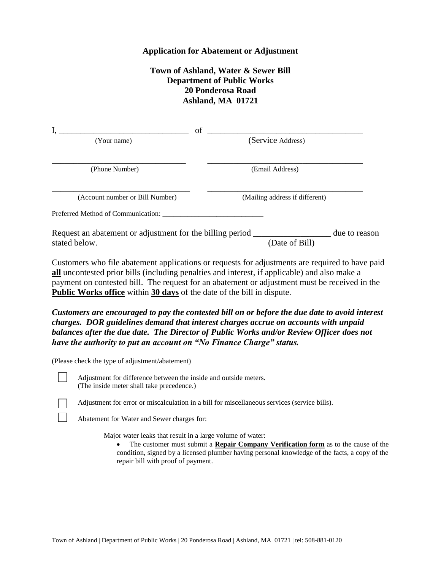## **Application for Abatement or Adjustment**

## **Town of Ashland, Water & Sewer Bill Department of Public Works 20 Ponderosa Road Ashland, MA 01721**

|                                                                                                    | of |                                |               |
|----------------------------------------------------------------------------------------------------|----|--------------------------------|---------------|
| (Your name)                                                                                        |    | (Service Address)              |               |
| (Phone Number)                                                                                     |    | (Email Address)                |               |
| (Account number or Bill Number)                                                                    |    | (Mailing address if different) |               |
| Preferred Method of Communication:                                                                 |    |                                |               |
| Request an abatement or adjustment for the billing period _______________________<br>stated below. |    | (Date of Bill)                 | due to reason |

Customers who file abatement applications or requests for adjustments are required to have paid **all** uncontested prior bills (including penalties and interest, if applicable) and also make a payment on contested bill. The request for an abatement or adjustment must be received in the **Public Works office** within **30 days** of the date of the bill in dispute.

*Customers are encouraged to pay the contested bill on or before the due date to avoid interest charges. DOR guidelines demand that interest charges accrue on accounts with unpaid balances after the due date. The Director of Public Works and/or Review Officer does not have the authority to put an account on "No Finance Charge" status.*

(Please check the type of adjustment/abatement)



Adjustment for difference between the inside and outside meters. (The inside meter shall take precedence.)

Adjustment for error or miscalculation in a bill for miscellaneous services (service bills).

Abatement for Water and Sewer charges for:

Major water leaks that result in a large volume of water:

 The customer must submit a **Repair Company Verification form** as to the cause of the condition, signed by a licensed plumber having personal knowledge of the facts, a copy of the repair bill with proof of payment.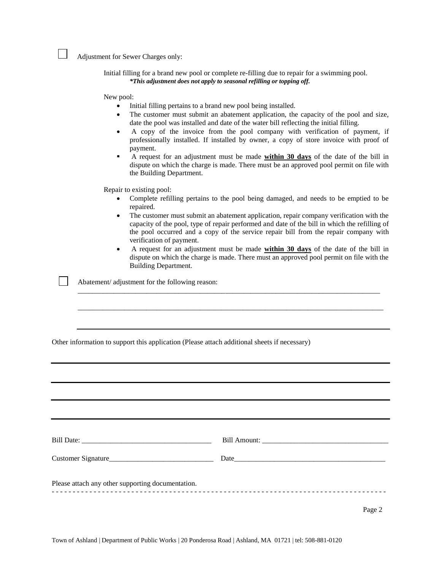Adjustment for Sewer Charges only:

Initial filling for a brand new pool or complete re-filling due to repair for a swimming pool. *\*This adjustment does not apply to seasonal refilling or topping off.*

New pool:

- Initial filling pertains to a brand new pool being installed.
- The customer must submit an abatement application, the capacity of the pool and size, date the pool was installed and date of the water bill reflecting the initial filling.
- A copy of the invoice from the pool company with verification of payment, if professionally installed. If installed by owner, a copy of store invoice with proof of payment.
- A request for an adjustment must be made **within 30 days** of the date of the bill in dispute on which the charge is made. There must be an approved pool permit on file with the Building Department.

Repair to existing pool:

- Complete refilling pertains to the pool being damaged, and needs to be emptied to be repaired.
- The customer must submit an abatement application, repair company verification with the capacity of the pool, type of repair performed and date of the bill in which the refilling of the pool occurred and a copy of the service repair bill from the repair company with verification of payment.
- A request for an adjustment must be made **within 30 days** of the date of the bill in dispute on which the charge is made. There must an approved pool permit on file with the Building Department.

\_\_\_\_\_\_\_\_\_\_\_\_\_\_\_\_\_\_\_\_\_\_\_\_\_\_\_\_\_\_\_\_\_\_\_\_\_\_\_\_\_\_\_\_\_\_\_\_\_\_\_\_\_\_\_\_\_\_\_\_\_\_\_\_\_\_\_\_\_\_\_\_\_\_\_\_\_\_\_\_\_\_\_\_

\_\_\_\_\_\_\_\_\_\_\_\_\_\_\_\_\_\_\_\_\_\_\_\_\_\_\_\_\_\_\_\_\_\_\_\_\_\_\_\_\_\_\_\_\_\_\_\_\_\_\_\_\_\_\_\_\_\_\_\_\_\_\_\_\_\_\_\_\_\_\_\_\_\_\_\_\_\_\_\_\_\_\_\_\_

Abatement/ adjustment for the following reason:

Other information to support this application (Please attach additional sheets if necessary)

| Please attach any other supporting documentation. |  |
|---------------------------------------------------|--|